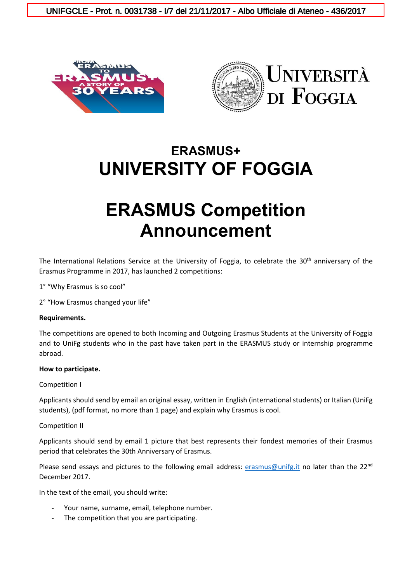UNIFGCLE - Prot. n. 0031738 - I/7 del 21/11/2017 - Albo Ufficiale di Ateneo - 436/2017





# **ERASMUS+ UNIVERSITY OF FOGGIA**

# **ERASMUS Competition Announcement**

The International Relations Service at the University of Foggia, to celebrate the 30<sup>th</sup> anniversary of the Erasmus Programme in 2017, has launched 2 competitions:

1° "Why Erasmus is so cool"

2° "How Erasmus changed your life"

#### **Requirements.**

The competitions are opened to both Incoming and Outgoing Erasmus Students at the University of Foggia and to UniFg students who in the past have taken part in the ERASMUS study or internship programme abroad.

#### **How to participate.**

#### Competition I

Applicants should send by email an original essay, written in English (international students) or Italian (UniFg students), (pdf format, no more than 1 page) and explain why Erasmus is cool.

#### Competition II

Applicants should send by email 1 picture that best represents their fondest memories of their Erasmus period that celebrates the 30th Anniversary of Erasmus.

Please send essays and pictures to the following email address: [erasmus@unifg.it](mailto:erasmus@unifg.it) no later than the 22<sup>nd</sup> December 2017.

In the text of the email, you should write:

- Your name, surname, email, telephone number.
- The competition that you are participating.